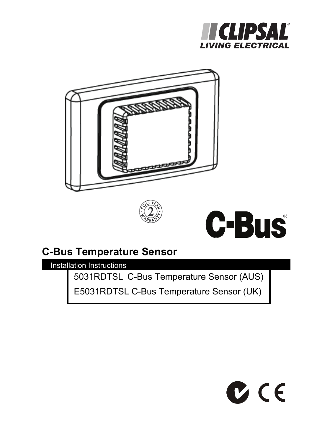







# **C-Bus Temperature Sensor**

Installation Instructions

5031RDTSL C-Bus Temperature Sensor (AUS)

E5031RDTSL C-Bus Temperature Sensor (UK)

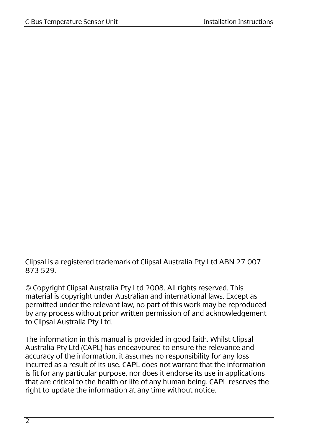Clipsal is a registered trademark of Clipsal Australia Pty Ltd ABN 27 007 873 529.

© Copyright Clipsal Australia Pty Ltd 2008. All rights reserved. This material is copyright under Australian and international laws. Except as permitted under the relevant law, no part of this work may be reproduced by any process without prior written permission of and acknowledgement to Clipsal Australia Pty Ltd.

The information in this manual is provided in good faith. Whilst Clipsal Australia Pty Ltd (CAPL) has endeavoured to ensure the relevance and accuracy of the information, it assumes no responsibility for any loss incurred as a result of its use. CAPL does not warrant that the information is fit for any particular purpose, nor does it endorse its use in applications that are critical to the health or life of any human being. CAPL reserves the right to update the information at any time without notice.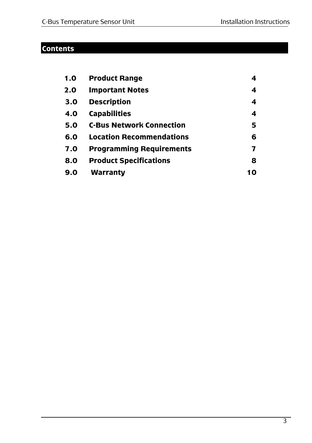## **Contents**

| 1.0 | <b>Product Range</b>            | 4   |
|-----|---------------------------------|-----|
| 2.0 | <b>Important Notes</b>          | 4   |
| 3.0 | <b>Description</b>              | 4   |
| 4.O | <b>Capabilities</b>             | 4   |
| 5.0 | <b>C-Bus Network Connection</b> | 5   |
| 6.0 | <b>Location Recommendations</b> | 6   |
| 7.0 | <b>Programming Requirements</b> | 7   |
| 8.0 | <b>Product Specifications</b>   | 8   |
| 9.0 | Warranty                        | 1 N |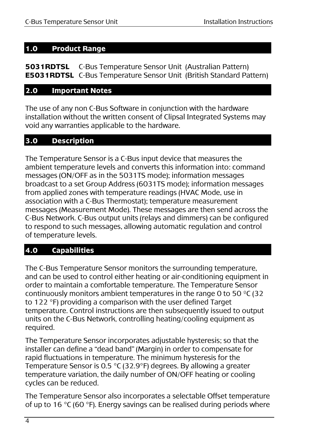## **1.0 Product Range**

**5031RDTSL** C-Bus Temperature Sensor Unit (Australian Pattern) **E5031RDTSL** C-Bus Temperature Sensor Unit (British Standard Pattern)

## **2.0 Important Notes**

The use of any non C-Bus Software in conjunction with the hardware installation without the written consent of Clipsal Integrated Systems may void any warranties applicable to the hardware.

## **3.0 Description**

The Temperature Sensor is a C-Bus input device that measures the ambient temperature levels and converts this information into: command messages (ON/OFF as in the 5031TS mode); information messages broadcast to a set Group Address (6031TS mode); information messages from applied zones with temperature readings (HVAC Mode, use in association with a C-Bus Thermostat); temperature measurement messages (Measurement Mode). These messages are then send across the C-Bus Network. C-Bus output units (relays and dimmers) can be configured to respond to such messages, allowing automatic regulation and control of temperature levels.

## **4.0 Capabilities**

The C-Bus Temperature Sensor monitors the surrounding temperature, and can be used to control either heating or air-conditioning equipment in order to maintain a comfortable temperature. The Temperature Sensor continuously monitors ambient temperatures in the range 0 to 50  $^{\circ}$ C (32 to 122 °F) providing a comparison with the user defined Target temperature. Control instructions are then subsequently issued to output units on the C-Bus Network, controlling heating/cooling equipment as required.

The Temperature Sensor incorporates adjustable hysteresis; so that the installer can define a "dead band" (Margin) in order to compensate for rapid fluctuations in temperature. The minimum hysteresis for the Temperature Sensor is 0.5 °C (32.9°F) degrees. By allowing a greater temperature variation, the daily number of ON/OFF heating or cooling cycles can be reduced.

The Temperature Sensor also incorporates a selectable Offset temperature of up to 16  $\degree$ C (60  $\degree$ F). Energy savings can be realised during periods where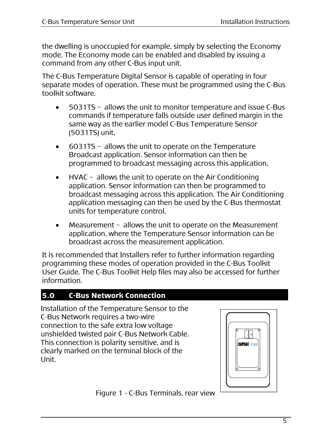the dwelling is unoccupied for example, simply by selecting the Economy mode. The Economy mode can be enabled and disabled by issuing a command from any other C-Bus input unit.

The C-Bus Temperature Digital Sensor is capable of operating in four separate modes of operation. These must be programmed using the C-Bus toolkit software.

- 5031TS allows the unit to monitor temperature and issue C-Bus commands if temperature falls outside user defined margin in the same way as the earlier model C-Bus Temperature Sensor (5031TS) unit,
- 6031TS allows the unit to operate on the Temperature Broadcast application. Sensor information can then be programmed to broadcast messaging across this application,
- HVAC allows the unit to operate on the Air Conditioning application. Sensor information can then be programmed to broadcast messaging across this application. The Air Conditioning application messaging can then be used by the C-Bus thermostat units for temperature control,
- Measurement allows the unit to operate on the Measurement application, where the Temperature Sensor information can be broadcast across the measurement application.

It is recommended that Installers refer to further information regarding programming these modes of operation provided in the C-Bus Toolkit User Guide. The C-Bus Toolkit Help files may also be accessed for further information.

## **5.0 C-Bus Network Connection**

Installation of the Temperature Sensor to the C-Bus Network requires a two-wire connection to the safe extra low voltage unshielded twisted pair C-Bus Network Cable. This connection is polarity sensitive, and is clearly marked on the terminal block of the Unit.



Figure 1 - C-Bus Terminals, rear view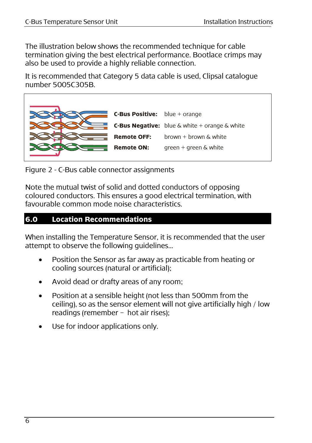The illustration below shows the recommended technique for cable termination giving the best electrical performance. Bootlace crimps may also be used to provide a highly reliable connection.

It is recommended that Category 5 data cable is used, Clipsal catalogue number 5005C305B.



Figure 2 - C-Bus cable connector assignments

Note the mutual twist of solid and dotted conductors of opposing coloured conductors. This ensures a good electrical termination, with favourable common mode noise characteristics.

## **6.0 Location Recommendations**

When installing the Temperature Sensor, it is recommended that the user attempt to observe the following guidelines...

- Position the Sensor as far away as practicable from heating or cooling sources (natural or artificial);
- Avoid dead or drafty areas of any room;
- Position at a sensible height (not less than 500mm from the ceiling), so as the sensor element will not give artificially high / low readings (remember – hot air rises);
- Use for indoor applications only.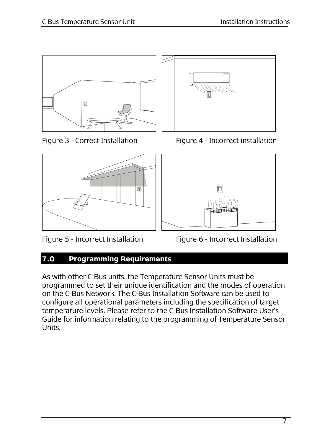



Figure 5 - Incorrect Installation Figure 6 - Incorrect Installation



Figure 3 - Correct Installation Figure 4 - Incorrect installation



## **7.0 Programming Requirements**

As with other C-Bus units, the Temperature Sensor Units must be programmed to set their unique identification and the modes of operation on the C-Bus Network. The C-Bus Installation Software can be used to configure all operational parameters including the specification of target temperature levels. Please refer to the C-Bus Installation Software User's Guide for information relating to the programming of Temperature Sensor Units.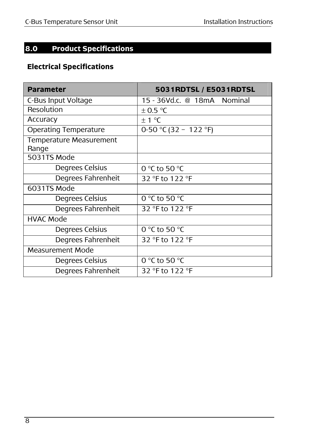## **8.0 Product Specifications**

## **Electrical Specifications**

| <b>Parameter</b>                 | 5031RDTSL / E5031RDTSL      |
|----------------------------------|-----------------------------|
| C-Bus Input Voltage              | 15 - 36Vd.c. @ 18mA Nominal |
| Resolution                       | $\pm$ 0.5 °C                |
| Accuracy                         | $\pm$ 1 °C                  |
| <b>Operating Temperature</b>     | 0-50 °C (32 - 122 °F)       |
| Temperature Measurement<br>Range |                             |
| 5031TS Mode                      |                             |
| Degrees Celsius                  | 0 °C to 50 °C               |
| Degrees Fahrenheit               | 32 °F to 122 °F             |
| 6031TS Mode                      |                             |
| Degrees Celsius                  | 0 °C to 50 °C               |
| Degrees Fahrenheit               | 32 °F to 122 °F             |
| <b>HVAC Mode</b>                 |                             |
| Degrees Celsius                  | 0 °C to 50 °C               |
| Degrees Fahrenheit               | 32 °F to 122 °F             |
| <b>Measurement Mode</b>          |                             |
| Degrees Celsius                  | 0 °C to 50 °C               |
| Degrees Fahrenheit               | 32 °F to 122 °F             |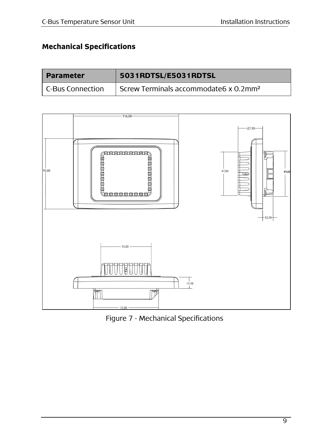## **Mechanical Specifications**

| <b>Parameter</b> | 5031RDTSL/E5031RDTSL                              |
|------------------|---------------------------------------------------|
| C-Bus Connection | Screw Terminals accommodate6 x 0.2mm <sup>2</sup> |



Figure 7 - Mechanical Specifications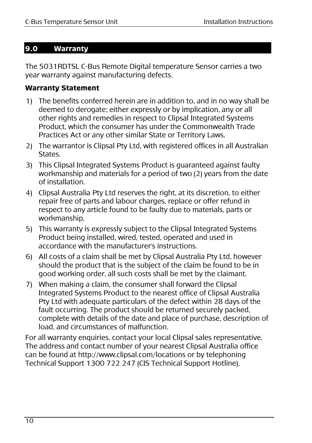## **9.0 Warranty**

The 5031RDTSL C-Bus Remote Digital temperature Sensor carries a two year warranty against manufacturing defects.

## **Warranty Statement**

- 1) The benefits conferred herein are in addition to, and in no way shall be deemed to derogate; either expressly or by implication, any or all other rights and remedies in respect to Clipsal Integrated Systems Product, which the consumer has under the Commonwealth Trade Practices Act or any other similar State or Territory Laws.
- 2) The warrantor is Clipsal Pty Ltd, with registered offices in all Australian **States**
- 3) This Clipsal Integrated Systems Product is guaranteed against faulty workmanship and materials for a period of two (2) years from the date of installation.
- 4) Clipsal Australia Pty Ltd reserves the right, at its discretion, to either repair free of parts and labour charges, replace or offer refund in respect to any article found to be faulty due to materials, parts or workmanship.
- 5) This warranty is expressly subject to the Clipsal Integrated Systems Product being installed, wired, tested, operated and used in accordance with the manufacturer's instructions.
- 6) All costs of a claim shall be met by Clipsal Australia Pty Ltd, however should the product that is the subject of the claim be found to be in good working order, all such costs shall be met by the claimant.
- 7) When making a claim, the consumer shall forward the Clipsal Integrated Systems Product to the nearest office of Clipsal Australia Pty Ltd with adequate particulars of the defect within 28 days of the fault occurring. The product should be returned securely packed, complete with details of the date and place of purchase, description of load, and circumstances of malfunction.

For all warranty enquiries, contact your local Clipsal sales representative. The address and contact number of your nearest Clipsal Australia office can be found at http://www.clipsal.com/locations or by telephoning Technical Support 1300 722 247 (CIS Technical Support Hotline).